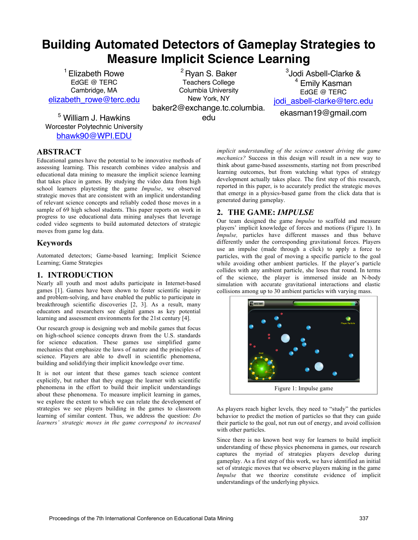# **Building Automated Detectors of Gameplay Strategies to Measure Implicit Science Learning**

<sup>1</sup> Elizabeth Rowe EdGE @ TERC Cambridge, MA elizabeth\_rowe@terc.edu

<sup>5</sup> William J. Hawkins Worcester Polytechnic University bhawk90@WPI.EDU

<sup>2</sup> Rvan S. Baker Teachers College Columbia University New York, NY baker2@exchange.tc.columbia. edu

3 Jodi Asbell-Clarke & <sup>4</sup> Emily Kasman EdGE @ TERC jodi\_asbell-clarke@terc.edu ekasman19@gmail.com

**ABSTRACT**

Educational games have the potential to be innovative methods of assessing learning. This research combines video analysis and educational data mining to measure the implicit science learning that takes place in games. By studying the video data from high school learners playtesting the game *Impulse*, we observed strategic moves that are consistent with an implicit understanding of relevant science concepts and reliably coded those moves in a sample of 69 high school students. This paper reports on work in progress to use educational data mining analyses that leverage coded video segments to build automated detectors of strategic moves from game log data.

## **Keywords**

Automated detectors; Game-based learning; Implicit Science Learning; Game Strategies

### **1. INTRODUCTION**

Nearly all youth and most adults participate in Internet-based games [1]. Games have been shown to foster scientific inquiry and problem-solving, and have enabled the public to participate in breakthrough scientific discoveries [2, 3]. As a result, many educators and researchers see digital games as key potential learning and assessment environments for the 21st century [4].

Our research group is designing web and mobile games that focus on high-school science concepts drawn from the U.S. standards for science education. These games use simplified game mechanics that emphasize the laws of nature and the principles of science. Players are able to dwell in scientific phenomena, building and solidifying their implicit knowledge over time.

It is not our intent that these games teach science content explicitly, but rather that they engage the learner with scientific phenomena in the effort to build their implicit understandings about these phenomena. To measure implicit learning in games, we explore the extent to which we can relate the development of strategies we see players building in the games to classroom learning of similar content. Thus, we address the question: *Do learners' strategic moves in the game correspond to increased* 

*implicit understanding of the science content driving the game mechanics?* Success in this design will result in a new way to think about game-based assessments, starting not from prescribed learning outcomes, but from watching what types of strategy development actually takes place. The first step of this research, reported in this paper, is to accurately predict the strategic moves that emerge in a physics-based game from the click data that is generated during gameplay.

## **2. THE GAME:** *IMPULSE*

Our team designed the game *Impulse* to scaffold and measure players' implicit knowledge of forces and motions (Figure 1). In *Impulse,* particles have different masses and thus behave differently under the corresponding gravitational forces. Players use an impulse (made through a click) to apply a force to particles, with the goal of moving a specific particle to the goal while avoiding other ambient particles. If the player's particle collides with any ambient particle, she loses that round. In terms of the science, the player is immersed inside an N-body simulation with accurate gravitational interactions and elastic collisions among up to 30 ambient particles with varying mass.



As players reach higher levels*,* they need to "study" the particles behavior to predict the motion of particles so that they can guide their particle to the goal, not run out of energy, and avoid collision with other particles.

Since there is no known best way for learners to build implicit understanding of these physics phenomena in games, our research captures the myriad of strategies players develop during gameplay. As a first step of this work, we have identified an initial set of strategic moves that we observe players making in the game *Impulse* that we theorize constitute evidence of implicit understandings of the underlying physics.